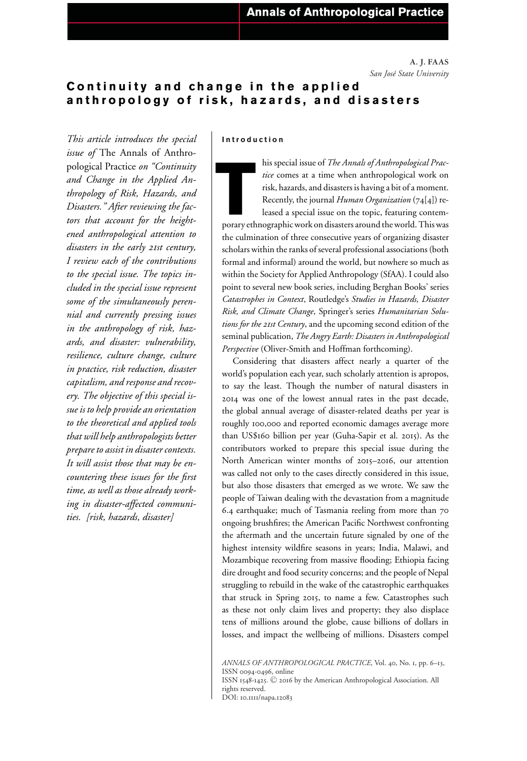**A. J. FAAS** *San Jos´e State University*

# **Continuity and change in the applied anthropology of risk, hazards, and disasters**

*This article introduces the special issue of* The Annals of Anthropological Practice *on "Continuity and Change in the Applied Anthropology of Risk, Hazards, and Disasters." After reviewing the factors that account for the heightened anthropological attention to disasters in the early 21st century, I review each of the contributions to the special issue. The topics included in the special issue represent some of the simultaneously perennial and currently pressing issues in the anthropology of risk, hazards, and disaster: vulnerability, resilience, culture change, culture in practice, risk reduction, disaster capitalism, and response and recovery. The objective of this special issue is to help provide an orientation to the theoretical and applied tools that will help anthropologists better prepare to assist in disaster contexts. It will assist those that may be encountering these issues for the first time, as well as those already working in disaster-affected communities. [risk, hazards, disaster]*

### **Introduction**

Inis special issue of *The Annals of Anthropological Practice* comes at a time when anthropological work on risk, hazards, and disasters is having a bit of a moment.<br>Recently, the journal *Human Organization* (74[4]) re-le his special issue of *The Annals of Anthropological Practice* comes at a time when anthropological work on risk, hazards, and disasters is having a bit of a moment. Recently, the journal *Human Organization* (74[4]) released a special issue on the topic, featuring contem-

the culmination of three consecutive years of organizing disaster scholars within the ranks of several professional associations (both formal and informal) around the world, but nowhere so much as within the Society for Applied Anthropology (SfAA). I could also point to several new book series, including Berghan Books' series *Catastrophes in Context*, Routledge's *Studies in Hazards, Disaster Risk, and Climate Change*, Springer's series *Humanitarian Solutions for the 21st Century*, and the upcoming second edition of the seminal publication, *The Angry Earth: Disasters in Anthropological Perspective* (Oliver-Smith and Hoffman forthcoming).

Considering that disasters affect nearly a quarter of the world's population each year, such scholarly attention is apropos, to say the least. Though the number of natural disasters in 2014 was one of the lowest annual rates in the past decade, the global annual average of disaster-related deaths per year is roughly 100,000 and reported economic damages average more than US\$160 billion per year (Guha-Sapir et al. 2015). As the contributors worked to prepare this special issue during the North American winter months of 2015–2016, our attention was called not only to the cases directly considered in this issue, but also those disasters that emerged as we wrote. We saw the people of Taiwan dealing with the devastation from a magnitude 6.4 earthquake; much of Tasmania reeling from more than 70 ongoing brushfires; the American Pacific Northwest confronting the aftermath and the uncertain future signaled by one of the highest intensity wildfire seasons in years; India, Malawi, and Mozambique recovering from massive flooding; Ethiopia facing dire drought and food security concerns; and the people of Nepal struggling to rebuild in the wake of the catastrophic earthquakes that struck in Spring 2015, to name a few. Catastrophes such as these not only claim lives and property; they also displace tens of millions around the globe, cause billions of dollars in losses, and impact the wellbeing of millions. Disasters compel

*ANNALS OF ANTHROPOLOGICAL PRACTICE*, Vol. 40, No. 1, pp. 6–13, ISSN 0094-0496, online ISSN 1548-1425.  $\copyright$  2016 by the American Anthropological Association. All rights reserved. DOI: 10.1111/napa.12083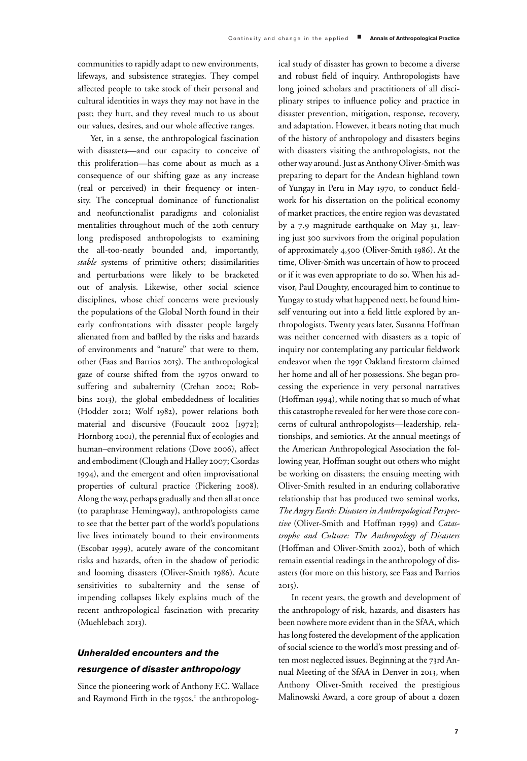communities to rapidly adapt to new environments, lifeways, and subsistence strategies. They compel affected people to take stock of their personal and cultural identities in ways they may not have in the past; they hurt, and they reveal much to us about our values, desires, and our whole affective ranges.

Yet, in a sense, the anthropological fascination with disasters—and our capacity to conceive of this proliferation—has come about as much as a consequence of our shifting gaze as any increase (real or perceived) in their frequency or intensity. The conceptual dominance of functionalist and neofunctionalist paradigms and colonialist mentalities throughout much of the 20th century long predisposed anthropologists to examining the all-too-neatly bounded and, importantly, *stable* systems of primitive others; dissimilarities and perturbations were likely to be bracketed out of analysis. Likewise, other social science disciplines, whose chief concerns were previously the populations of the Global North found in their early confrontations with disaster people largely alienated from and baffled by the risks and hazards of environments and "nature" that were to them, other (Faas and Barrios 2015). The anthropological gaze of course shifted from the 1970s onward to suffering and subalternity (Crehan 2002; Robbins 2013), the global embeddedness of localities (Hodder 2012; Wolf 1982), power relations both material and discursive (Foucault 2002 [1972]; Hornborg 2001), the perennial flux of ecologies and human–environment relations (Dove 2006), affect and embodiment (Clough and Halley 2007; Csordas 1994), and the emergent and often improvisational properties of cultural practice (Pickering 2008). Along the way, perhaps gradually and then all at once (to paraphrase Hemingway), anthropologists came to see that the better part of the world's populations live lives intimately bound to their environments (Escobar 1999), acutely aware of the concomitant risks and hazards, often in the shadow of periodic and looming disasters (Oliver-Smith 1986). Acute sensitivities to subalternity and the sense of impending collapses likely explains much of the recent anthropological fascination with precarity (Muehlebach 2013).

# *Unheralded encounters and the resurgence of disaster anthropology*

Since the pioneering work of Anthony F.C. Wallace and Raymond Firth in the 1950s, $<sup>I</sup>$  the anthropolog-</sup>

ical study of disaster has grown to become a diverse and robust field of inquiry. Anthropologists have long joined scholars and practitioners of all disciplinary stripes to influence policy and practice in disaster prevention, mitigation, response, recovery, and adaptation. However, it bears noting that much of the history of anthropology and disasters begins with disasters visiting the anthropologists, not the other way around. Just as Anthony Oliver-Smith was preparing to depart for the Andean highland town of Yungay in Peru in May 1970, to conduct fieldwork for his dissertation on the political economy of market practices, the entire region was devastated by a 7.9 magnitude earthquake on May 31, leaving just 300 survivors from the original population of approximately 4,500 (Oliver-Smith 1986). At the time, Oliver-Smith was uncertain of how to proceed or if it was even appropriate to do so. When his advisor, Paul Doughty, encouraged him to continue to Yungay to study what happened next, he found himself venturing out into a field little explored by anthropologists. Twenty years later, Susanna Hoffman was neither concerned with disasters as a topic of inquiry nor contemplating any particular fieldwork endeavor when the 1991 Oakland firestorm claimed her home and all of her possessions. She began processing the experience in very personal narratives (Hoffman 1994), while noting that so much of what this catastrophe revealed for her were those core concerns of cultural anthropologists—leadership, relationships, and semiotics. At the annual meetings of the American Anthropological Association the following year, Hoffman sought out others who might be working on disasters; the ensuing meeting with Oliver-Smith resulted in an enduring collaborative relationship that has produced two seminal works, *The Angry Earth: Disasters in Anthropological Perspective* (Oliver-Smith and Hoffman 1999) and *Catastrophe and Culture: The Anthropology of Disasters* (Hoffman and Oliver-Smith 2002), both of which remain essential readings in the anthropology of disasters (for more on this history, see Faas and Barrios 2015).

In recent years, the growth and development of the anthropology of risk, hazards, and disasters has been nowhere more evident than in the SfAA, which has long fostered the development of the application of social science to the world's most pressing and often most neglected issues. Beginning at the 73rd Annual Meeting of the SfAA in Denver in 2013, when Anthony Oliver-Smith received the prestigious Malinowski Award, a core group of about a dozen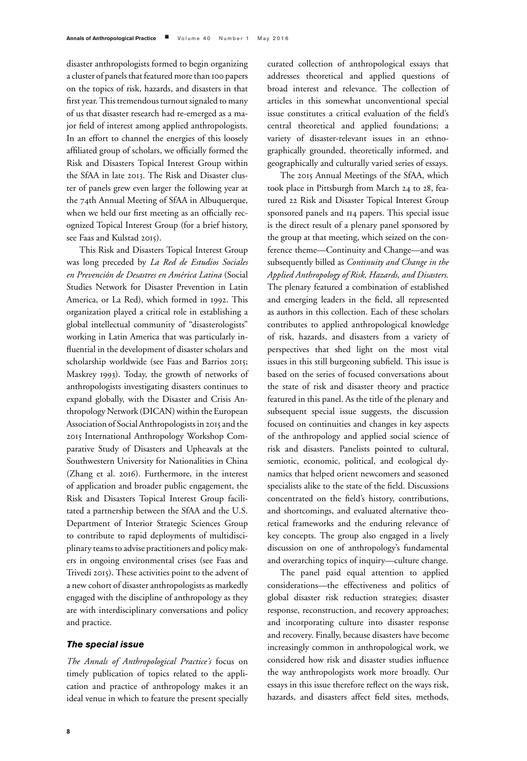disaster anthropologists formed to begin organizing a cluster of panels that featured more than 100 papers on the topics of risk, hazards, and disasters in that first year. This tremendous turnout signaled to many of us that disaster research had re-emerged as a major field of interest among applied anthropologists. In an effort to channel the energies of this loosely affiliated group of scholars, we officially formed the Risk and Disasters Topical Interest Group within the SfAA in late 2013. The Risk and Disaster cluster of panels grew even larger the following year at the 74th Annual Meeting of SfAA in Albuquerque, when we held our first meeting as an officially recognized Topical Interest Group (for a brief history, see Faas and Kulstad 2015).

This Risk and Disasters Topical Interest Group was long preceded by *La Red de Estudios Sociales en Prevención de Desastres en América Latina* (Social Studies Network for Disaster Prevention in Latin America, or La Red), which formed in 1992. This organization played a critical role in establishing a global intellectual community of "disasterologists" working in Latin America that was particularly influential in the development of disaster scholars and scholarship worldwide (see Faas and Barrios 2015; Maskrey 1993). Today, the growth of networks of anthropologists investigating disasters continues to expand globally, with the Disaster and Crisis Anthropology Network (DICAN) within the European Association of Social Anthropologists in 2015 and the 2015 International Anthropology Workshop Comparative Study of Disasters and Upheavals at the Southwestern University for Nationalities in China (Zhang et al. 2016). Furthermore, in the interest of application and broader public engagement, the Risk and Disasters Topical Interest Group facilitated a partnership between the SfAA and the U.S. Department of Interior Strategic Sciences Group to contribute to rapid deployments of multidisciplinary teams to advise practitioners and policy makers in ongoing environmental crises (see Faas and Trivedi 2015). These activities point to the advent of a new cohort of disaster anthropologists as markedly engaged with the discipline of anthropology as they are with interdisciplinary conversations and policy and practice.

### *The special issue*

*The Annals of Anthropological Practice's* focus on timely publication of topics related to the application and practice of anthropology makes it an ideal venue in which to feature the present specially curated collection of anthropological essays that addresses theoretical and applied questions of broad interest and relevance. The collection of articles in this somewhat unconventional special issue constitutes a critical evaluation of the field's central theoretical and applied foundations; a variety of disaster-relevant issues in an ethnographically grounded, theoretically informed, and geographically and culturally varied series of essays.

The 2015 Annual Meetings of the SfAA, which took place in Pittsburgh from March 24 to 28, featured 22 Risk and Disaster Topical Interest Group sponsored panels and 114 papers. This special issue is the direct result of a plenary panel sponsored by the group at that meeting, which seized on the conference theme—Continuity and Change—and was subsequently billed as *Continuity and Change in the Applied Anthropology of Risk, Hazards, and Disasters.* The plenary featured a combination of established and emerging leaders in the field, all represented as authors in this collection. Each of these scholars contributes to applied anthropological knowledge of risk, hazards, and disasters from a variety of perspectives that shed light on the most vital issues in this still burgeoning subfield. This issue is based on the series of focused conversations about the state of risk and disaster theory and practice featured in this panel. As the title of the plenary and subsequent special issue suggests, the discussion focused on continuities and changes in key aspects of the anthropology and applied social science of risk and disasters. Panelists pointed to cultural, semiotic, economic, political, and ecological dynamics that helped orient newcomers and seasoned specialists alike to the state of the field. Discussions concentrated on the field's history, contributions, and shortcomings, and evaluated alternative theoretical frameworks and the enduring relevance of key concepts. The group also engaged in a lively discussion on one of anthropology's fundamental and overarching topics of inquiry—culture change.

The panel paid equal attention to applied considerations—the effectiveness and politics of global disaster risk reduction strategies; disaster response, reconstruction, and recovery approaches; and incorporating culture into disaster response and recovery. Finally, because disasters have become increasingly common in anthropological work, we considered how risk and disaster studies influence the way anthropologists work more broadly. Our essays in this issue therefore reflect on the ways risk, hazards, and disasters affect field sites, methods,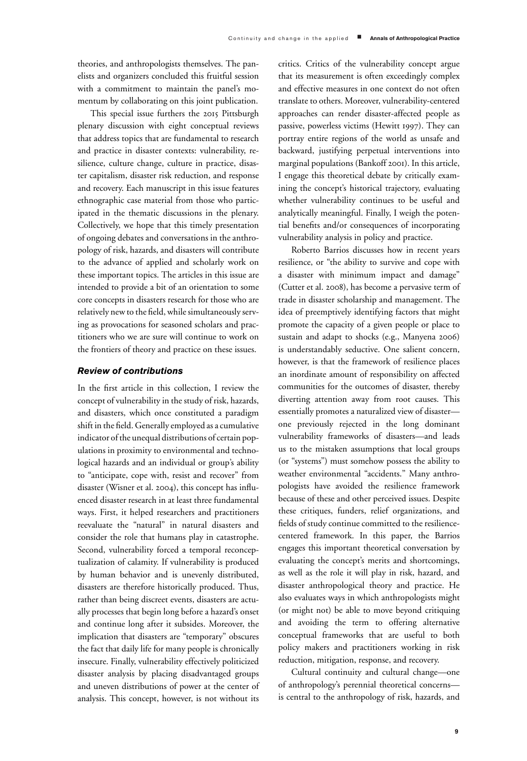theories, and anthropologists themselves. The panelists and organizers concluded this fruitful session with a commitment to maintain the panel's momentum by collaborating on this joint publication.

This special issue furthers the 2015 Pittsburgh plenary discussion with eight conceptual reviews that address topics that are fundamental to research and practice in disaster contexts: vulnerability, resilience, culture change, culture in practice, disaster capitalism, disaster risk reduction, and response and recovery. Each manuscript in this issue features ethnographic case material from those who participated in the thematic discussions in the plenary. Collectively, we hope that this timely presentation of ongoing debates and conversations in the anthropology of risk, hazards, and disasters will contribute to the advance of applied and scholarly work on these important topics. The articles in this issue are intended to provide a bit of an orientation to some core concepts in disasters research for those who are relatively new to the field, while simultaneously serving as provocations for seasoned scholars and practitioners who we are sure will continue to work on the frontiers of theory and practice on these issues.

## *Review of contributions*

In the first article in this collection, I review the concept of vulnerability in the study of risk, hazards, and disasters, which once constituted a paradigm shift in the field. Generally employed as a cumulative indicator of the unequal distributions of certain populations in proximity to environmental and technological hazards and an individual or group's ability to "anticipate, cope with, resist and recover" from disaster (Wisner et al. 2004), this concept has influenced disaster research in at least three fundamental ways. First, it helped researchers and practitioners reevaluate the "natural" in natural disasters and consider the role that humans play in catastrophe. Second, vulnerability forced a temporal reconceptualization of calamity. If vulnerability is produced by human behavior and is unevenly distributed, disasters are therefore historically produced. Thus, rather than being discreet events, disasters are actually processes that begin long before a hazard's onset and continue long after it subsides. Moreover, the implication that disasters are "temporary" obscures the fact that daily life for many people is chronically insecure. Finally, vulnerability effectively politicized disaster analysis by placing disadvantaged groups and uneven distributions of power at the center of analysis. This concept, however, is not without its critics. Critics of the vulnerability concept argue that its measurement is often exceedingly complex and effective measures in one context do not often translate to others. Moreover, vulnerability-centered approaches can render disaster-affected people as passive, powerless victims (Hewitt 1997). They can portray entire regions of the world as unsafe and backward, justifying perpetual interventions into marginal populations (Bankoff 2001). In this article, I engage this theoretical debate by critically examining the concept's historical trajectory, evaluating whether vulnerability continues to be useful and analytically meaningful. Finally, I weigh the potential benefits and/or consequences of incorporating vulnerability analysis in policy and practice.

Roberto Barrios discusses how in recent years resilience, or "the ability to survive and cope with a disaster with minimum impact and damage" (Cutter et al. 2008), has become a pervasive term of trade in disaster scholarship and management. The idea of preemptively identifying factors that might promote the capacity of a given people or place to sustain and adapt to shocks (e.g., Manyena 2006) is understandably seductive. One salient concern, however, is that the framework of resilience places an inordinate amount of responsibility on affected communities for the outcomes of disaster, thereby diverting attention away from root causes. This essentially promotes a naturalized view of disaster one previously rejected in the long dominant vulnerability frameworks of disasters—and leads us to the mistaken assumptions that local groups (or "systems") must somehow possess the ability to weather environmental "accidents." Many anthropologists have avoided the resilience framework because of these and other perceived issues. Despite these critiques, funders, relief organizations, and fields of study continue committed to the resiliencecentered framework. In this paper, the Barrios engages this important theoretical conversation by evaluating the concept's merits and shortcomings, as well as the role it will play in risk, hazard, and disaster anthropological theory and practice. He also evaluates ways in which anthropologists might (or might not) be able to move beyond critiquing and avoiding the term to offering alternative conceptual frameworks that are useful to both policy makers and practitioners working in risk reduction, mitigation, response, and recovery.

Cultural continuity and cultural change—one of anthropology's perennial theoretical concerns is central to the anthropology of risk, hazards, and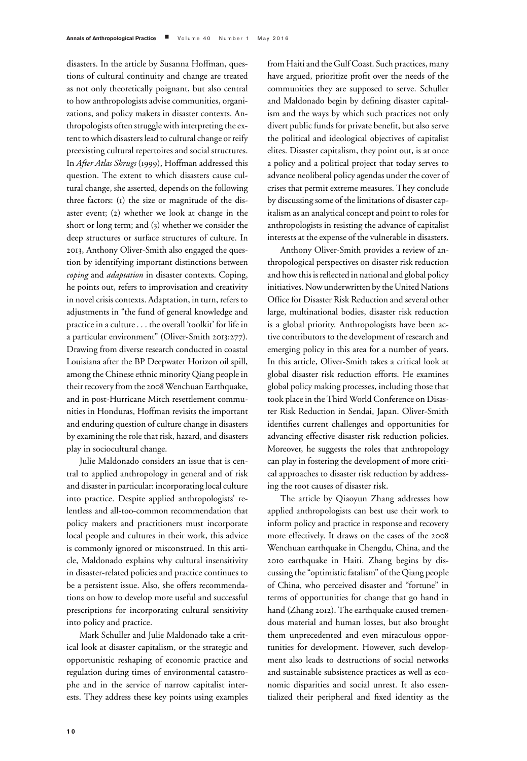disasters. In the article by Susanna Hoffman, questions of cultural continuity and change are treated as not only theoretically poignant, but also central to how anthropologists advise communities, organizations, and policy makers in disaster contexts. Anthropologists often struggle with interpreting the extent to which disasters lead to cultural change or reify preexisting cultural repertoires and social structures. In *After Atlas Shrugs* (1999), Hoffman addressed this question. The extent to which disasters cause cultural change, she asserted, depends on the following three factors: (1) the size or magnitude of the disaster event; (2) whether we look at change in the short or long term; and (3) whether we consider the deep structures or surface structures of culture. In 2013, Anthony Oliver-Smith also engaged the question by identifying important distinctions between *coping* and *adaptation* in disaster contexts. Coping, he points out, refers to improvisation and creativity in novel crisis contexts. Adaptation, in turn, refers to adjustments in "the fund of general knowledge and practice in a culture . . . the overall 'toolkit' for life in a particular environment" (Oliver-Smith 2013:277). Drawing from diverse research conducted in coastal Louisiana after the BP Deepwater Horizon oil spill, among the Chinese ethnic minority Qiang people in their recovery from the 2008Wenchuan Earthquake, and in post-Hurricane Mitch resettlement communities in Honduras, Hoffman revisits the important and enduring question of culture change in disasters by examining the role that risk, hazard, and disasters play in sociocultural change.

Julie Maldonado considers an issue that is central to applied anthropology in general and of risk and disaster in particular: incorporating local culture into practice. Despite applied anthropologists' relentless and all-too-common recommendation that policy makers and practitioners must incorporate local people and cultures in their work, this advice is commonly ignored or misconstrued. In this article, Maldonado explains why cultural insensitivity in disaster-related policies and practice continues to be a persistent issue. Also, she offers recommendations on how to develop more useful and successful prescriptions for incorporating cultural sensitivity into policy and practice.

Mark Schuller and Julie Maldonado take a critical look at disaster capitalism, or the strategic and opportunistic reshaping of economic practice and regulation during times of environmental catastrophe and in the service of narrow capitalist interests. They address these key points using examples

from Haiti and the Gulf Coast. Such practices, many have argued, prioritize profit over the needs of the communities they are supposed to serve. Schuller and Maldonado begin by defining disaster capitalism and the ways by which such practices not only divert public funds for private benefit, but also serve the political and ideological objectives of capitalist elites. Disaster capitalism, they point out, is at once a policy and a political project that today serves to advance neoliberal policy agendas under the cover of crises that permit extreme measures. They conclude by discussing some of the limitations of disaster capitalism as an analytical concept and point to roles for anthropologists in resisting the advance of capitalist interests at the expense of the vulnerable in disasters.

Anthony Oliver-Smith provides a review of anthropological perspectives on disaster risk reduction and how this is reflected in national and global policy initiatives. Now underwritten by the United Nations Office for Disaster Risk Reduction and several other large, multinational bodies, disaster risk reduction is a global priority. Anthropologists have been active contributors to the development of research and emerging policy in this area for a number of years. In this article, Oliver-Smith takes a critical look at global disaster risk reduction efforts. He examines global policy making processes, including those that took place in the Third World Conference on Disaster Risk Reduction in Sendai, Japan. Oliver-Smith identifies current challenges and opportunities for advancing effective disaster risk reduction policies. Moreover, he suggests the roles that anthropology can play in fostering the development of more critical approaches to disaster risk reduction by addressing the root causes of disaster risk.

The article by Qiaoyun Zhang addresses how applied anthropologists can best use their work to inform policy and practice in response and recovery more effectively. It draws on the cases of the 2008 Wenchuan earthquake in Chengdu, China, and the 2010 earthquake in Haiti. Zhang begins by discussing the "optimistic fatalism" of the Qiang people of China, who perceived disaster and "fortune" in terms of opportunities for change that go hand in hand (Zhang 2012). The earthquake caused tremendous material and human losses, but also brought them unprecedented and even miraculous opportunities for development. However, such development also leads to destructions of social networks and sustainable subsistence practices as well as economic disparities and social unrest. It also essentialized their peripheral and fixed identity as the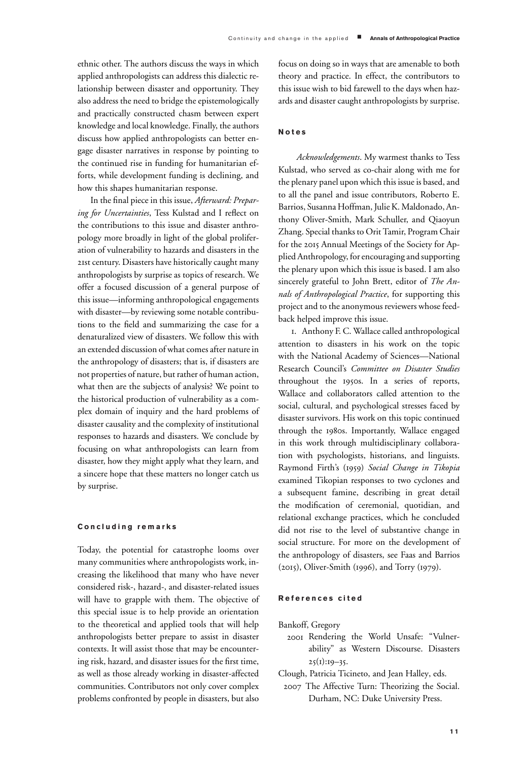ethnic other. The authors discuss the ways in which applied anthropologists can address this dialectic relationship between disaster and opportunity. They also address the need to bridge the epistemologically and practically constructed chasm between expert knowledge and local knowledge. Finally, the authors discuss how applied anthropologists can better engage disaster narratives in response by pointing to the continued rise in funding for humanitarian efforts, while development funding is declining, and how this shapes humanitarian response.

In the final piece in this issue, *Afterward: Preparing for Uncertainties*, Tess Kulstad and I reflect on the contributions to this issue and disaster anthropology more broadly in light of the global proliferation of vulnerability to hazards and disasters in the 21st century. Disasters have historically caught many anthropologists by surprise as topics of research. We offer a focused discussion of a general purpose of this issue—informing anthropological engagements with disaster—by reviewing some notable contributions to the field and summarizing the case for a denaturalized view of disasters. We follow this with an extended discussion of what comes after nature in the anthropology of disasters; that is, if disasters are not properties of nature, but rather of human action, what then are the subjects of analysis? We point to the historical production of vulnerability as a complex domain of inquiry and the hard problems of disaster causality and the complexity of institutional responses to hazards and disasters. We conclude by focusing on what anthropologists can learn from disaster, how they might apply what they learn, and a sincere hope that these matters no longer catch us by surprise.

#### **Concluding remarks**

Today, the potential for catastrophe looms over many communities where anthropologists work, increasing the likelihood that many who have never considered risk-, hazard-, and disaster-related issues will have to grapple with them. The objective of this special issue is to help provide an orientation to the theoretical and applied tools that will help anthropologists better prepare to assist in disaster contexts. It will assist those that may be encountering risk, hazard, and disaster issues for the first time, as well as those already working in disaster-affected communities. Contributors not only cover complex problems confronted by people in disasters, but also

focus on doing so in ways that are amenable to both theory and practice. In effect, the contributors to this issue wish to bid farewell to the days when hazards and disaster caught anthropologists by surprise.

## **Notes**

*Acknowledgements*. My warmest thanks to Tess Kulstad, who served as co-chair along with me for the plenary panel upon which this issue is based, and to all the panel and issue contributors, Roberto E. Barrios, Susanna Hoffman, Julie K. Maldonado, Anthony Oliver-Smith, Mark Schuller, and Qiaoyun Zhang. Special thanks to Orit Tamir, Program Chair for the 2015 Annual Meetings of the Society for Applied Anthropology, for encouraging and supporting the plenary upon which this issue is based. I am also sincerely grateful to John Brett, editor of *The Annals of Anthropological Practice*, for supporting this project and to the anonymous reviewers whose feedback helped improve this issue.

1. Anthony F. C. Wallace called anthropological attention to disasters in his work on the topic with the National Academy of Sciences—National Research Council's *Committee on Disaster Studies* throughout the 1950s. In a series of reports, Wallace and collaborators called attention to the social, cultural, and psychological stresses faced by disaster survivors. His work on this topic continued through the 1980s. Importantly, Wallace engaged in this work through multidisciplinary collaboration with psychologists, historians, and linguists. Raymond Firth's (1959) *Social Change in Tikopia* examined Tikopian responses to two cyclones and a subsequent famine, describing in great detail the modification of ceremonial, quotidian, and relational exchange practices, which he concluded did not rise to the level of substantive change in social structure. For more on the development of the anthropology of disasters, see Faas and Barrios (2015), Oliver-Smith (1996), and Torry (1979).

#### **References cited**

- Bankoff, Gregory
	- 2001 Rendering the World Unsafe: "Vulnerability" as Western Discourse. Disasters  $25(1):19-35.$
- Clough, Patricia Ticineto, and Jean Halley, eds.
	- 2007 The Affective Turn: Theorizing the Social. Durham, NC: Duke University Press.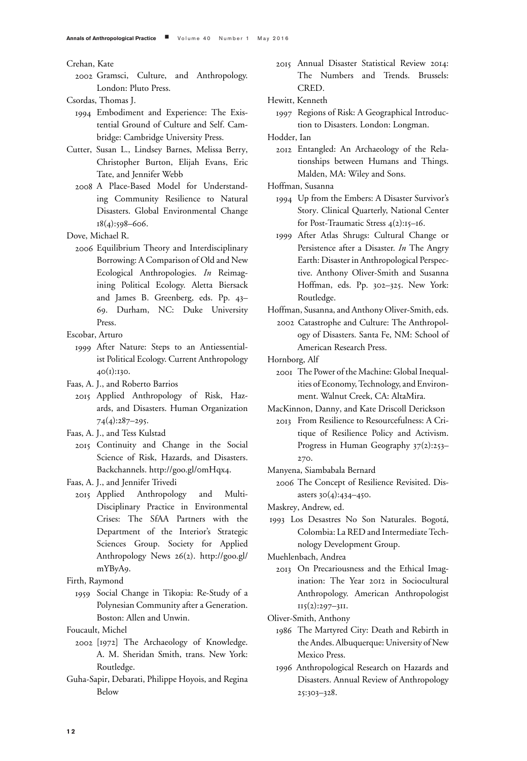Crehan, Kate

- 2002 Gramsci, Culture, and Anthropology. London: Pluto Press.
- Csordas, Thomas J.
	- 1994 Embodiment and Experience: The Existential Ground of Culture and Self. Cambridge: Cambridge University Press.
- Cutter, Susan L., Lindsey Barnes, Melissa Berry, Christopher Burton, Elijah Evans, Eric Tate, and Jennifer Webb
	- 2008 A Place-Based Model for Understanding Community Resilience to Natural Disasters. Global Environmental Change 18(4):598–606.

Dove, Michael R.

- 2006 Equilibrium Theory and Interdisciplinary Borrowing: A Comparison of Old and New Ecological Anthropologies. *In* Reimagining Political Ecology. Aletta Biersack and James B. Greenberg, eds. Pp. 43– 69. Durham, NC: Duke University Press.
- Escobar, Arturo
	- 1999 After Nature: Steps to an Antiessentialist Political Ecology. Current Anthropology 40(1):130.

Faas, A. J., and Roberto Barrios

2015 Applied Anthropology of Risk, Hazards, and Disasters. Human Organization 74(4):287–295.

Faas, A. J., and Tess Kulstad

2015 Continuity and Change in the Social Science of Risk, Hazards, and Disasters. Backchannels. http://goo.gl/0mHqx4.

Faas, A. J., and Jennifer Trivedi

2015 Applied Anthropology and Multi-Disciplinary Practice in Environmental Crises: The SfAA Partners with the Department of the Interior's Strategic Sciences Group. Society for Applied Anthropology News 26(2). http://goo.gl/ mYByA9.

Firth, Raymond

1959 Social Change in Tikopia: Re-Study of a Polynesian Community after a Generation. Boston: Allen and Unwin.

Foucault, Michel

- 2002 [1972] The Archaeology of Knowledge. A. M. Sheridan Smith, trans. New York: Routledge.
- Guha-Sapir, Debarati, Philippe Hoyois, and Regina Below

2015 Annual Disaster Statistical Review 2014: The Numbers and Trends. Brussels: CRED.

Hewitt, Kenneth

1997 Regions of Risk: A Geographical Introduction to Disasters. London: Longman.

Hodder, Ian

2012 Entangled: An Archaeology of the Relationships between Humans and Things. Malden, MA: Wiley and Sons.

Hoffman, Susanna

- 1994 Up from the Embers: A Disaster Survivor's Story. Clinical Quarterly, National Center for Post-Traumatic Stress 4(2):15–16.
- 1999 After Atlas Shrugs: Cultural Change or Persistence after a Disaster. *In* The Angry Earth: Disaster in Anthropological Perspective. Anthony Oliver-Smith and Susanna Hoffman, eds. Pp. 302–325. New York: Routledge.

Hoffman, Susanna, and Anthony Oliver-Smith, eds.

2002 Catastrophe and Culture: The Anthropology of Disasters. Santa Fe, NM: School of American Research Press.

Hornborg, Alf

- 2001 The Power of the Machine: Global Inequalities of Economy, Technology, and Environment. Walnut Creek, CA: AltaMira.
- MacKinnon, Danny, and Kate Driscoll Derickson
	- 2013 From Resilience to Resourcefulness: A Critique of Resilience Policy and Activism. Progress in Human Geography 37(2):253– 270.

Manyena, Siambabala Bernard

2006 The Concept of Resilience Revisited. Disasters 30(4):434–450.

Maskrey, Andrew, ed.

1993 Los Desastres No Son Naturales. Bogota,´ Colombia: La RED and Intermediate Technology Development Group.

Muehlenbach, Andrea

2013 On Precariousness and the Ethical Imagination: The Year 2012 in Sociocultural Anthropology. American Anthropologist  $II5(2):297-3II.$ 

Oliver-Smith, Anthony

- 1986 The Martyred City: Death and Rebirth in the Andes. Albuquerque: University of New Mexico Press.
- 1996 Anthropological Research on Hazards and Disasters. Annual Review of Anthropology 25:303–328.